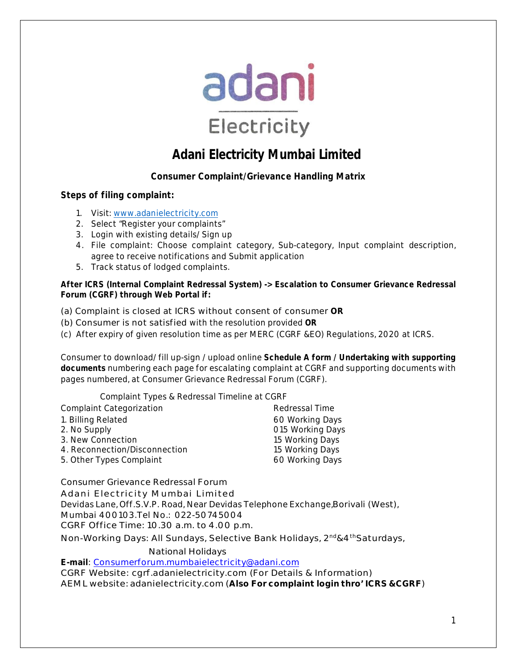

# **Adani Electricity Mumbai Limited**

# **Consumer Complaint/Grievance Handling Matrix**

## **Steps of filing complaint:**

- 1. Visit: www.adanielectricity.com
- 2. Select "Register your complaints"
- 3. Login with existing details/ Sign up
- 4. File complaint: Choose complaint category, Sub-category, Input complaint description, agree to receive notifications and Submit application
- 5. Track status of lodged complaints.

## **After ICRS (Internal Complaint Redressal System) -> Escalation to Consumer Grievance Redressal Forum (CGRF) through Web Portal if:**

(a) Complaint is closed at ICRS without consent of consumer **OR**

- (b) Consumer is not satisfied with the resolution provided **OR**
- (c) After expiry of given resolution time as per MERC (CGRF &EO) Regulations, 2020 at ICRS.

Consumer to download/ fill up-sign / upload online **Schedule A form / Undertaking with supporting documents** numbering each page for escalating complaint at CGRF and supporting documents with pages numbered, at Consumer Grievance Redressal Forum (CGRF).

Complaint Types & Redressal Timeline at CGRF

| <b>Complaint Categorization</b> | Redressal Time   |
|---------------------------------|------------------|
| 1. Billing Related              | 60 Working Days  |
| 2. No Supply                    | 015 Working Days |
| 3. New Connection               | 15 Working Days  |
| 4. Reconnection/Disconnection   | 15 Working Days  |
| 5. Other Types Complaint        | 60 Working Days  |

Consumer Grievance Redressal Forum

Adani Electricity Mumbai Limited

Devidas Lane, Off.S.V.P. Road, Near Devidas Telephone Exchange,Borivali (West),

Mumbai 400103.Tel No.: 022-50745004

CGRF Office Time: 10.30 a.m. to 4.00 p.m.

Non-Working Days: All Sundays, Selective Bank Holidays, 2nd&4thSaturdays,

National Holidays

**E-mail**: Consumerforum.mumbaielectricity@adani.com

CGRF Website: cgrf.adanielectricity.com (For Details & Information) AEML website: adanielectricity.com (**Also For complaint login thro' ICRS &CGRF**)